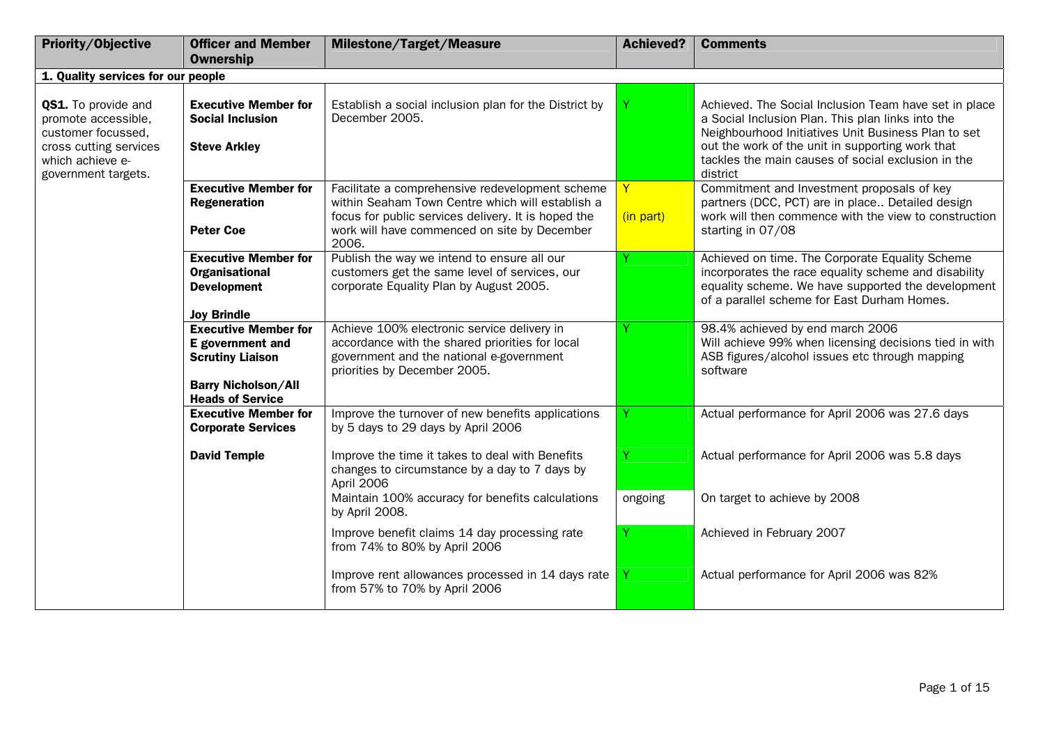| Priority/Objective                                                                                                                    | <b>Officer and Member</b>                                                                                                           | <b>Milestone/Target/Measure</b>                                                                                                                                                                                     | <b>Achieved?</b> | <b>Comments</b>                                                                                                                                                                                                                                                                         |
|---------------------------------------------------------------------------------------------------------------------------------------|-------------------------------------------------------------------------------------------------------------------------------------|---------------------------------------------------------------------------------------------------------------------------------------------------------------------------------------------------------------------|------------------|-----------------------------------------------------------------------------------------------------------------------------------------------------------------------------------------------------------------------------------------------------------------------------------------|
|                                                                                                                                       | <b>Ownership</b>                                                                                                                    |                                                                                                                                                                                                                     |                  |                                                                                                                                                                                                                                                                                         |
| 1. Quality services for our people                                                                                                    |                                                                                                                                     |                                                                                                                                                                                                                     |                  |                                                                                                                                                                                                                                                                                         |
| QS1. To provide and<br>promote accessible,<br>customer focussed.<br>cross cutting services<br>which achieve e-<br>government targets. | <b>Executive Member for</b><br><b>Social Inclusion</b><br><b>Steve Arkley</b>                                                       | Establish a social inclusion plan for the District by<br>December 2005.                                                                                                                                             | Y                | Achieved. The Social Inclusion Team have set in place<br>a Social Inclusion Plan. This plan links into the<br>Neighbourhood Initiatives Unit Business Plan to set<br>out the work of the unit in supporting work that<br>tackles the main causes of social exclusion in the<br>district |
|                                                                                                                                       | <b>Executive Member for</b><br><b>Regeneration</b><br><b>Peter Coe</b>                                                              | Facilitate a comprehensive redevelopment scheme<br>within Seaham Town Centre which will establish a<br>focus for public services delivery. It is hoped the<br>work will have commenced on site by December<br>2006. | Y<br>(in part)   | Commitment and Investment proposals of key<br>partners (DCC, PCT) are in place Detailed design<br>work will then commence with the view to construction<br>starting in 07/08                                                                                                            |
|                                                                                                                                       | <b>Executive Member for</b><br><b>Organisational</b><br><b>Development</b><br><b>Joy Brindle</b>                                    | Publish the way we intend to ensure all our<br>customers get the same level of services, our<br>corporate Equality Plan by August 2005.                                                                             |                  | Achieved on time. The Corporate Equality Scheme<br>incorporates the race equality scheme and disability<br>equality scheme. We have supported the development<br>of a parallel scheme for East Durham Homes.                                                                            |
|                                                                                                                                       | <b>Executive Member for</b><br>E government and<br><b>Scrutiny Liaison</b><br><b>Barry Nicholson/All</b><br><b>Heads of Service</b> | Achieve 100% electronic service delivery in<br>accordance with the shared priorities for local<br>government and the national e-government<br>priorities by December 2005.                                          |                  | 98.4% achieved by end march 2006<br>Will achieve 99% when licensing decisions tied in with<br>ASB figures/alcohol issues etc through mapping<br>software                                                                                                                                |
|                                                                                                                                       | <b>Executive Member for</b><br><b>Corporate Services</b>                                                                            | Improve the turnover of new benefits applications<br>by 5 days to 29 days by April 2006                                                                                                                             |                  | Actual performance for April 2006 was 27.6 days                                                                                                                                                                                                                                         |
|                                                                                                                                       | <b>David Temple</b>                                                                                                                 | Improve the time it takes to deal with Benefits<br>changes to circumstance by a day to 7 days by<br>April 2006                                                                                                      |                  | Actual performance for April 2006 was 5.8 days                                                                                                                                                                                                                                          |
|                                                                                                                                       |                                                                                                                                     | Maintain 100% accuracy for benefits calculations<br>by April 2008.                                                                                                                                                  | ongoing          | On target to achieve by 2008                                                                                                                                                                                                                                                            |
|                                                                                                                                       |                                                                                                                                     | Improve benefit claims 14 day processing rate<br>from 74% to 80% by April 2006                                                                                                                                      | Y                | Achieved in February 2007                                                                                                                                                                                                                                                               |
|                                                                                                                                       |                                                                                                                                     | Improve rent allowances processed in 14 days rate<br>from 57% to 70% by April 2006                                                                                                                                  |                  | Actual performance for April 2006 was 82%                                                                                                                                                                                                                                               |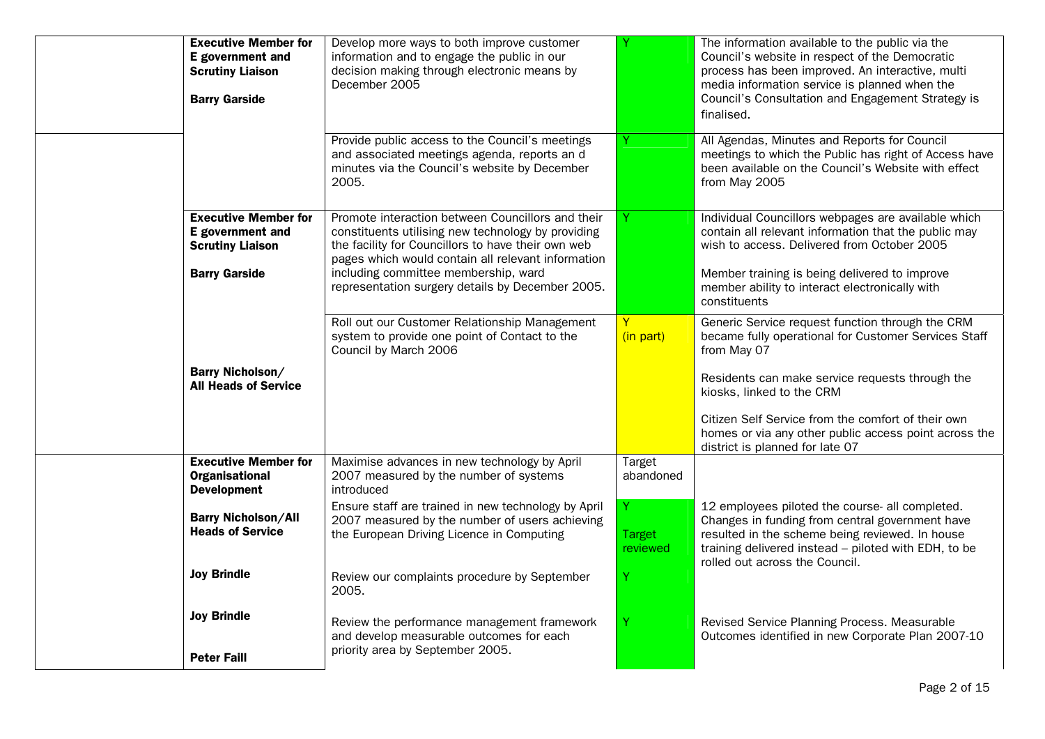| <b>Executive Member for</b><br>E government and<br><b>Scrutiny Liaison</b><br><b>Barry Garside</b> | Develop more ways to both improve customer<br>information and to engage the public in our<br>decision making through electronic means by<br>December 2005                                                                                                                                                       |                                            | The information available to the public via the<br>Council's website in respect of the Democratic<br>process has been improved. An interactive, multi<br>media information service is planned when the<br>Council's Consultation and Engagement Strategy is<br>finalised.                                                                                 |
|----------------------------------------------------------------------------------------------------|-----------------------------------------------------------------------------------------------------------------------------------------------------------------------------------------------------------------------------------------------------------------------------------------------------------------|--------------------------------------------|-----------------------------------------------------------------------------------------------------------------------------------------------------------------------------------------------------------------------------------------------------------------------------------------------------------------------------------------------------------|
|                                                                                                    | Provide public access to the Council's meetings<br>and associated meetings agenda, reports an d<br>minutes via the Council's website by December<br>2005.                                                                                                                                                       |                                            | All Agendas, Minutes and Reports for Council<br>meetings to which the Public has right of Access have<br>been available on the Council's Website with effect<br>from May 2005                                                                                                                                                                             |
| <b>Executive Member for</b><br>E government and<br><b>Scrutiny Liaison</b><br><b>Barry Garside</b> | Promote interaction between Councillors and their<br>constituents utilising new technology by providing<br>the facility for Councillors to have their own web<br>pages which would contain all relevant information<br>including committee membership, ward<br>representation surgery details by December 2005. |                                            | Individual Councillors webpages are available which<br>contain all relevant information that the public may<br>wish to access. Delivered from October 2005<br>Member training is being delivered to improve<br>member ability to interact electronically with<br>constituents                                                                             |
| <b>Barry Nicholson/</b><br><b>All Heads of Service</b>                                             | Roll out our Customer Relationship Management<br>system to provide one point of Contact to the<br>Council by March 2006                                                                                                                                                                                         | (in part)                                  | Generic Service request function through the CRM<br>became fully operational for Customer Services Staff<br>from May 07<br>Residents can make service requests through the<br>kiosks, linked to the CRM<br>Citizen Self Service from the comfort of their own<br>homes or via any other public access point across the<br>district is planned for late 07 |
| <b>Executive Member for</b><br><b>Organisational</b><br><b>Development</b>                         | Maximise advances in new technology by April<br>2007 measured by the number of systems<br>introduced                                                                                                                                                                                                            | Target<br>abandoned                        |                                                                                                                                                                                                                                                                                                                                                           |
| <b>Barry Nicholson/All</b><br><b>Heads of Service</b><br><b>Joy Brindle</b>                        | Ensure staff are trained in new technology by April<br>2007 measured by the number of users achieving<br>the European Driving Licence in Computing<br>Review our complaints procedure by September                                                                                                              | Y<br><b>Target</b><br><b>reviewed</b><br>Y | 12 employees piloted the course- all completed.<br>Changes in funding from central government have<br>resulted in the scheme being reviewed. In house<br>training delivered instead - piloted with EDH, to be<br>rolled out across the Council.                                                                                                           |
| <b>Joy Brindle</b><br><b>Peter Faill</b>                                                           | 2005.<br>Review the performance management framework<br>and develop measurable outcomes for each<br>priority area by September 2005.                                                                                                                                                                            |                                            | Revised Service Planning Process. Measurable<br>Outcomes identified in new Corporate Plan 2007-10                                                                                                                                                                                                                                                         |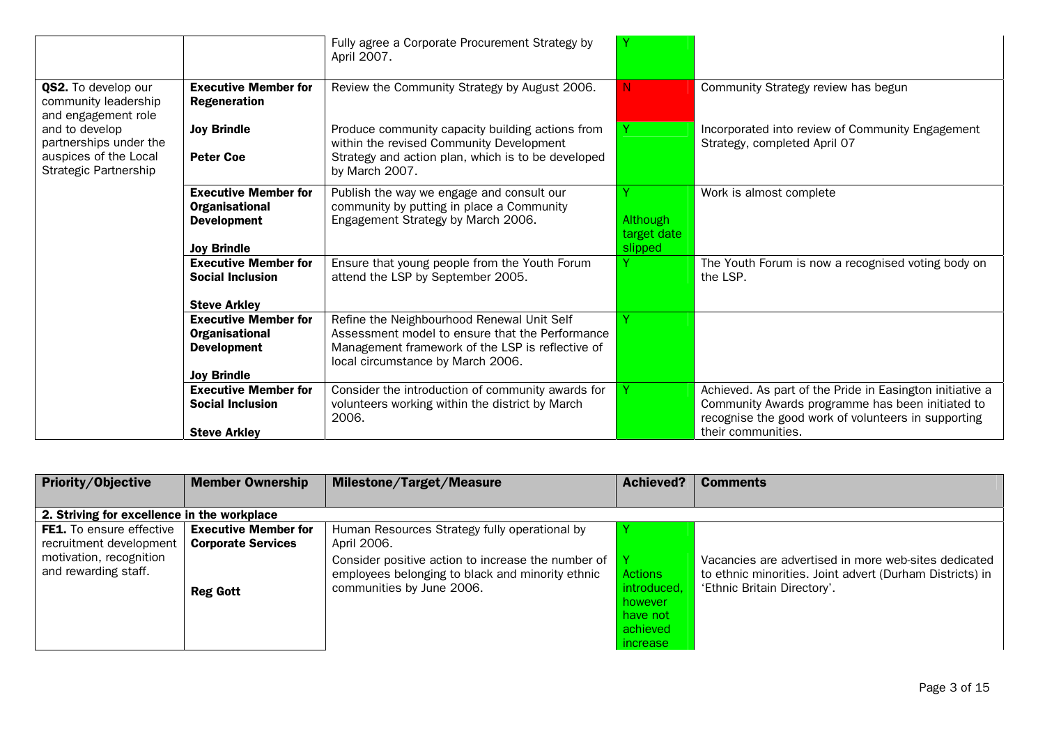|                                                                                            |                                                                                           | Fully agree a Corporate Procurement Strategy by<br>April 2007.                                                                                                                         |                                    |                                                                                                                                                                                           |
|--------------------------------------------------------------------------------------------|-------------------------------------------------------------------------------------------|----------------------------------------------------------------------------------------------------------------------------------------------------------------------------------------|------------------------------------|-------------------------------------------------------------------------------------------------------------------------------------------------------------------------------------------|
| QS2. To develop our<br>community leadership<br>and engagement role                         | <b>Executive Member for</b><br><b>Regeneration</b>                                        | Review the Community Strategy by August 2006.                                                                                                                                          | N.                                 | Community Strategy review has begun                                                                                                                                                       |
| and to develop<br>partnerships under the<br>auspices of the Local<br>Strategic Partnership | <b>Joy Brindle</b><br><b>Peter Coe</b>                                                    | Produce community capacity building actions from<br>within the revised Community Development<br>Strategy and action plan, which is to be developed<br>by March 2007.                   |                                    | Incorporated into review of Community Engagement<br>Strategy, completed April 07                                                                                                          |
|                                                                                            | <b>Executive Member for</b><br>Organisational<br><b>Development</b><br><b>Joy Brindle</b> | Publish the way we engage and consult our<br>community by putting in place a Community<br>Engagement Strategy by March 2006.                                                           | Although<br>target date<br>slipped | Work is almost complete                                                                                                                                                                   |
|                                                                                            | <b>Executive Member for</b><br><b>Social Inclusion</b><br><b>Steve Arkley</b>             | Ensure that young people from the Youth Forum<br>attend the LSP by September 2005.                                                                                                     |                                    | The Youth Forum is now a recognised voting body on<br>the LSP.                                                                                                                            |
|                                                                                            | <b>Executive Member for</b><br>Organisational<br><b>Development</b><br><b>Joy Brindle</b> | Refine the Neighbourhood Renewal Unit Self<br>Assessment model to ensure that the Performance<br>Management framework of the LSP is reflective of<br>local circumstance by March 2006. |                                    |                                                                                                                                                                                           |
|                                                                                            | <b>Executive Member for</b><br><b>Social Inclusion</b><br><b>Steve Arkley</b>             | Consider the introduction of community awards for<br>volunteers working within the district by March<br>2006.                                                                          |                                    | Achieved. As part of the Pride in Easington initiative a<br>Community Awards programme has been initiated to<br>recognise the good work of volunteers in supporting<br>their communities. |

| Priority/Objective                              | <b>Member Ownership</b>     | <b>Milestone/Target/Measure</b>                                                                        | <b>Achieved?</b> | <b>Comments</b>                                                                                                  |
|-------------------------------------------------|-----------------------------|--------------------------------------------------------------------------------------------------------|------------------|------------------------------------------------------------------------------------------------------------------|
|                                                 |                             |                                                                                                        |                  |                                                                                                                  |
| 2. Striving for excellence in the workplace     |                             |                                                                                                        |                  |                                                                                                                  |
| <b>FE1.</b> To ensure effective                 | <b>Executive Member for</b> | Human Resources Strategy fully operational by                                                          |                  |                                                                                                                  |
| recruitment development                         | <b>Corporate Services</b>   | April 2006.                                                                                            |                  |                                                                                                                  |
| motivation, recognition<br>and rewarding staff. |                             | Consider positive action to increase the number of<br>employees belonging to black and minority ethnic | Actions          | Vacancies are advertised in more web-sites dedicated<br>to ethnic minorities. Joint advert (Durham Districts) in |
|                                                 | <b>Reg Gott</b>             | communities by June 2006.                                                                              | introduced,      | 'Ethnic Britain Directory'.                                                                                      |
|                                                 |                             |                                                                                                        | however          |                                                                                                                  |
|                                                 |                             |                                                                                                        | have not         |                                                                                                                  |
|                                                 |                             |                                                                                                        | achieved         |                                                                                                                  |
|                                                 |                             |                                                                                                        | increase         |                                                                                                                  |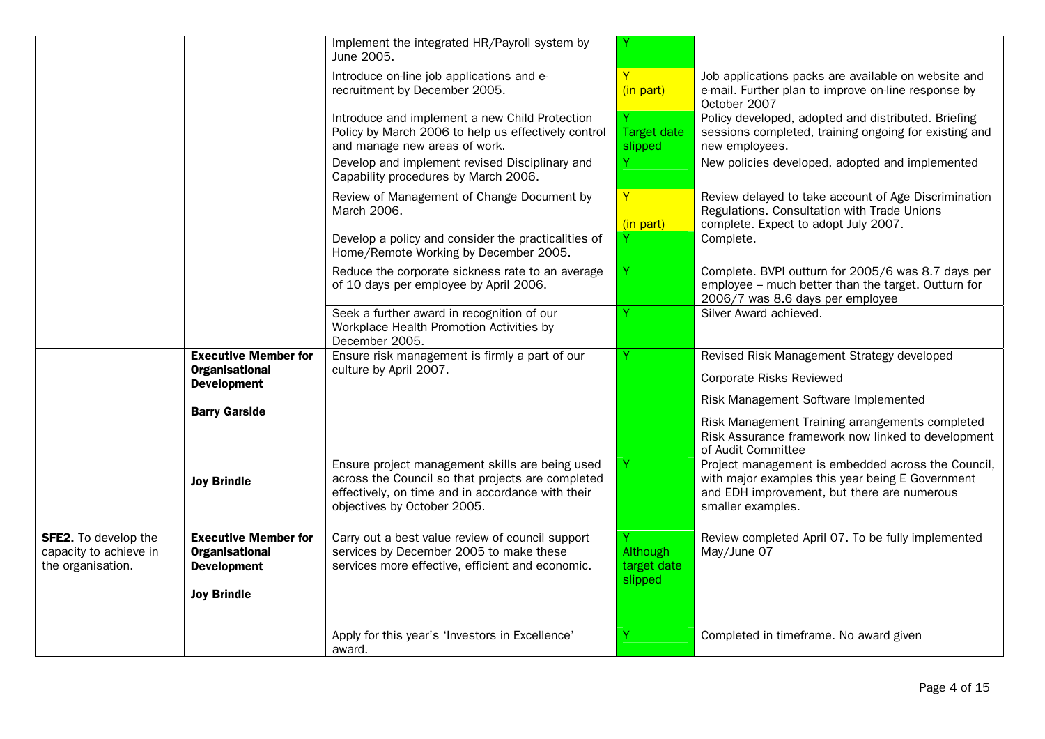|                                                                            |                                                                            | Implement the integrated HR/Payroll system by<br>June 2005.                                                                                                                              |                                    |                                                                                                                                                                            |
|----------------------------------------------------------------------------|----------------------------------------------------------------------------|------------------------------------------------------------------------------------------------------------------------------------------------------------------------------------------|------------------------------------|----------------------------------------------------------------------------------------------------------------------------------------------------------------------------|
|                                                                            |                                                                            | Introduce on-line job applications and e-<br>recruitment by December 2005.                                                                                                               | Y<br>(in part)                     | Job applications packs are available on website and<br>e-mail. Further plan to improve on-line response by<br>October 2007                                                 |
|                                                                            |                                                                            | Introduce and implement a new Child Protection<br>Policy by March 2006 to help us effectively control<br>and manage new areas of work.                                                   | <b>Target date</b><br>slipped      | Policy developed, adopted and distributed. Briefing<br>sessions completed, training ongoing for existing and<br>new employees.                                             |
|                                                                            |                                                                            | Develop and implement revised Disciplinary and<br>Capability procedures by March 2006.                                                                                                   | Ÿ                                  | New policies developed, adopted and implemented                                                                                                                            |
|                                                                            |                                                                            | Review of Management of Change Document by<br>March 2006.                                                                                                                                | $\mathbf{Y}$                       | Review delayed to take account of Age Discrimination<br>Regulations. Consultation with Trade Unions<br>complete. Expect to adopt July 2007.                                |
|                                                                            |                                                                            | Develop a policy and consider the practicalities of<br>Home/Remote Working by December 2005.                                                                                             | (in part)                          | Complete.                                                                                                                                                                  |
|                                                                            |                                                                            | Reduce the corporate sickness rate to an average<br>of 10 days per employee by April 2006.                                                                                               | Y                                  | Complete. BVPI outturn for 2005/6 was 8.7 days per<br>employee - much better than the target. Outturn for<br>2006/7 was 8.6 days per employee                              |
|                                                                            |                                                                            | Seek a further award in recognition of our<br>Workplace Health Promotion Activities by<br>December 2005.                                                                                 |                                    | Silver Award achieved.                                                                                                                                                     |
|                                                                            | <b>Executive Member for</b><br><b>Organisational</b><br><b>Development</b> | Ensure risk management is firmly a part of our<br>culture by April 2007.                                                                                                                 | Y                                  | Revised Risk Management Strategy developed<br><b>Corporate Risks Reviewed</b>                                                                                              |
|                                                                            | <b>Barry Garside</b>                                                       |                                                                                                                                                                                          |                                    | Risk Management Software Implemented<br>Risk Management Training arrangements completed                                                                                    |
|                                                                            |                                                                            |                                                                                                                                                                                          |                                    | Risk Assurance framework now linked to development<br>of Audit Committee                                                                                                   |
|                                                                            | <b>Joy Brindle</b>                                                         | Ensure project management skills are being used<br>across the Council so that projects are completed<br>effectively, on time and in accordance with their<br>objectives by October 2005. |                                    | Project management is embedded across the Council,<br>with major examples this year being E Government<br>and EDH improvement, but there are numerous<br>smaller examples. |
| <b>SFE2.</b> To develop the<br>capacity to achieve in<br>the organisation. | <b>Executive Member for</b><br><b>Organisational</b><br><b>Development</b> | Carry out a best value review of council support<br>services by December 2005 to make these<br>services more effective, efficient and economic.                                          | Although<br>target date<br>slipped | Review completed April 07. To be fully implemented<br>May/June 07                                                                                                          |
|                                                                            | <b>Joy Brindle</b>                                                         |                                                                                                                                                                                          |                                    |                                                                                                                                                                            |
|                                                                            |                                                                            | Apply for this year's 'Investors in Excellence'<br>award.                                                                                                                                | Υ                                  | Completed in timeframe. No award given                                                                                                                                     |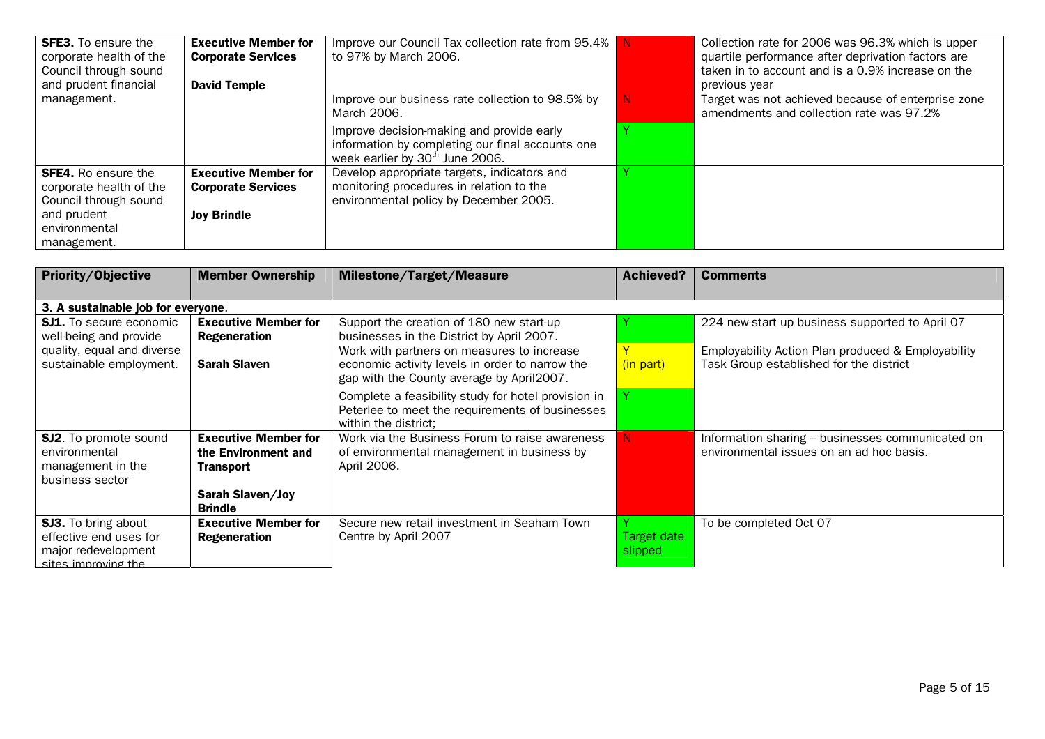| <b>SFE3.</b> To ensure the<br>corporate health of the<br>Council through sound<br>and prudent financial | <b>Executive Member for</b><br><b>Corporate Services</b><br><b>David Temple</b> | Improve our Council Tax collection rate from 95.4%<br>to 97% by March 2006.                                                                  |    | Collection rate for 2006 was 96.3% which is upper<br>quartile performance after deprivation factors are<br>taken in to account and is a 0.9% increase on the<br>previous year |
|---------------------------------------------------------------------------------------------------------|---------------------------------------------------------------------------------|----------------------------------------------------------------------------------------------------------------------------------------------|----|-------------------------------------------------------------------------------------------------------------------------------------------------------------------------------|
| management.                                                                                             |                                                                                 | Improve our business rate collection to 98.5% by<br>March 2006.                                                                              | N. | Target was not achieved because of enterprise zone<br>amendments and collection rate was 97.2%                                                                                |
|                                                                                                         |                                                                                 | Improve decision-making and provide early<br>information by completing our final accounts one<br>week earlier by 30 <sup>th</sup> June 2006. |    |                                                                                                                                                                               |
| <b>SFE4.</b> Ro ensure the<br>corporate health of the<br>Council through sound                          | <b>Executive Member for</b><br><b>Corporate Services</b>                        | Develop appropriate targets, indicators and<br>monitoring procedures in relation to the<br>environmental policy by December 2005.            |    |                                                                                                                                                                               |
| and prudent<br>environmental<br>management.                                                             | <b>Joy Brindle</b>                                                              |                                                                                                                                              |    |                                                                                                                                                                               |

| Priority/Objective                 | <b>Member Ownership</b>                   | <b>Milestone/Target/Measure</b>                                                                                                | <b>Achieved?</b> | <b>Comments</b>                                    |
|------------------------------------|-------------------------------------------|--------------------------------------------------------------------------------------------------------------------------------|------------------|----------------------------------------------------|
|                                    |                                           |                                                                                                                                |                  |                                                    |
| 3. A sustainable job for everyone. |                                           |                                                                                                                                |                  |                                                    |
| <b>SJ1.</b> To secure economic     | <b>Executive Member for</b>               | Support the creation of 180 new start-up                                                                                       |                  | 224 new-start up business supported to April 07    |
| well-being and provide             | <b>Regeneration</b>                       | businesses in the District by April 2007.                                                                                      |                  |                                                    |
| quality, equal and diverse         |                                           | Work with partners on measures to increase                                                                                     |                  | Employability Action Plan produced & Employability |
| sustainable employment.            | <b>Sarah Slaven</b>                       | economic activity levels in order to narrow the<br>gap with the County average by April2007.                                   | (in part)        | Task Group established for the district            |
|                                    |                                           | Complete a feasibility study for hotel provision in<br>Peterlee to meet the requirements of businesses<br>within the district: |                  |                                                    |
| <b>SJ2.</b> To promote sound       | <b>Executive Member for</b>               | Work via the Business Forum to raise awareness                                                                                 | N.               | Information sharing - businesses communicated on   |
| environmental                      | the Environment and                       | of environmental management in business by                                                                                     |                  | environmental issues on an ad hoc basis.           |
| management in the                  | <b>Transport</b>                          | April 2006.                                                                                                                    |                  |                                                    |
| business sector                    |                                           |                                                                                                                                |                  |                                                    |
|                                    | <b>Sarah Slaven/Joy</b><br><b>Brindle</b> |                                                                                                                                |                  |                                                    |
| <b>SJ3.</b> To bring about         | <b>Executive Member for</b>               | Secure new retail investment in Seaham Town                                                                                    |                  | To be completed Oct 07                             |
| effective end uses for             | <b>Regeneration</b>                       | Centre by April 2007                                                                                                           | Target date      |                                                    |
| major redevelopment                |                                           |                                                                                                                                | slipped          |                                                    |
| sites imnroving the                |                                           |                                                                                                                                |                  |                                                    |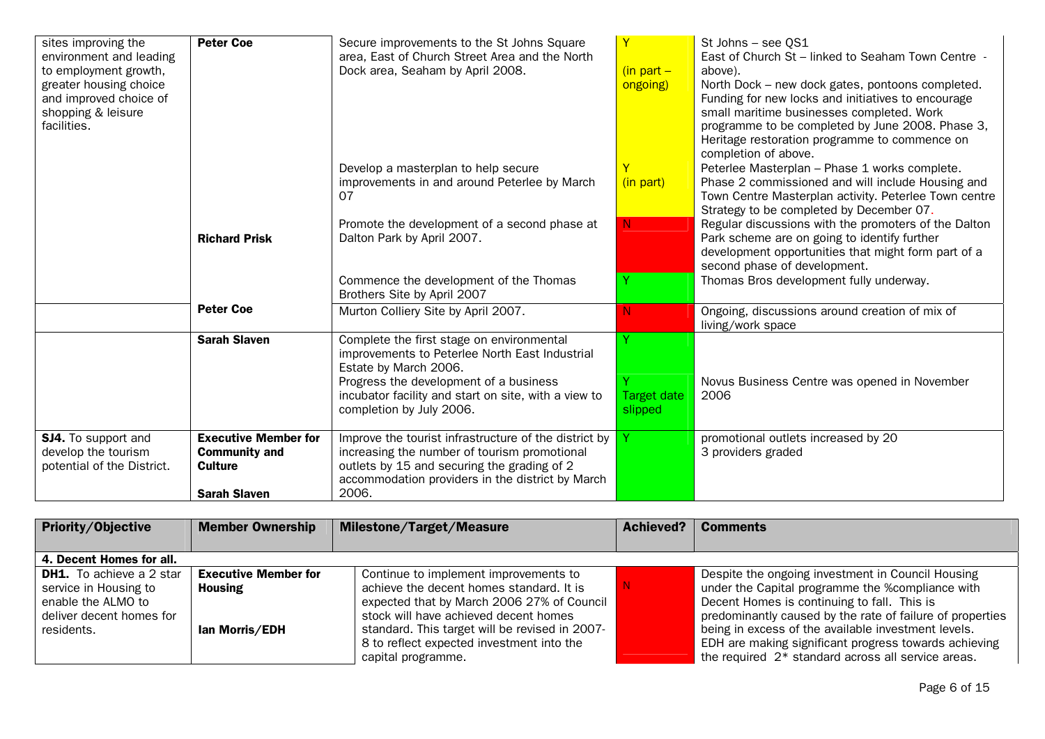| sites improving the<br>environment and leading<br>to employment growth,<br>greater housing choice<br>and improved choice of<br>shopping & leisure<br>facilities. | <b>Peter Coe</b>                                                                             | Secure improvements to the St Johns Square<br>area, East of Church Street Area and the North<br>Dock area, Seaham by April 2008.                                                                                                                   | $(in part -$<br>ongoing)      | St Johns - see OS1<br>East of Church St - linked to Seaham Town Centre -<br>above).<br>North Dock - new dock gates, pontoons completed.<br>Funding for new locks and initiatives to encourage<br>small maritime businesses completed. Work<br>programme to be completed by June 2008. Phase 3,<br>Heritage restoration programme to commence on<br>completion of above. |
|------------------------------------------------------------------------------------------------------------------------------------------------------------------|----------------------------------------------------------------------------------------------|----------------------------------------------------------------------------------------------------------------------------------------------------------------------------------------------------------------------------------------------------|-------------------------------|-------------------------------------------------------------------------------------------------------------------------------------------------------------------------------------------------------------------------------------------------------------------------------------------------------------------------------------------------------------------------|
|                                                                                                                                                                  |                                                                                              | Develop a masterplan to help secure<br>improvements in and around Peterlee by March<br>07                                                                                                                                                          | (in part)                     | Peterlee Masterplan - Phase 1 works complete.<br>Phase 2 commissioned and will include Housing and<br>Town Centre Masterplan activity. Peterlee Town centre<br>Strategy to be completed by December 07.                                                                                                                                                                 |
|                                                                                                                                                                  | <b>Richard Prisk</b>                                                                         | Promote the development of a second phase at<br>Dalton Park by April 2007.                                                                                                                                                                         | N.                            | Regular discussions with the promoters of the Dalton<br>Park scheme are on going to identify further<br>development opportunities that might form part of a<br>second phase of development.                                                                                                                                                                             |
|                                                                                                                                                                  |                                                                                              | Commence the development of the Thomas<br>Brothers Site by April 2007                                                                                                                                                                              |                               | Thomas Bros development fully underway.                                                                                                                                                                                                                                                                                                                                 |
|                                                                                                                                                                  | <b>Peter Coe</b>                                                                             | Murton Colliery Site by April 2007.                                                                                                                                                                                                                |                               | Ongoing, discussions around creation of mix of<br>living/work space                                                                                                                                                                                                                                                                                                     |
|                                                                                                                                                                  | <b>Sarah Slaven</b>                                                                          | Complete the first stage on environmental<br>improvements to Peterlee North East Industrial<br>Estate by March 2006.<br>Progress the development of a business<br>incubator facility and start on site, with a view to<br>completion by July 2006. | <b>Target date</b><br>slipped | Novus Business Centre was opened in November<br>2006                                                                                                                                                                                                                                                                                                                    |
| <b>SJ4.</b> To support and<br>develop the tourism<br>potential of the District.                                                                                  | <b>Executive Member for</b><br><b>Community and</b><br><b>Culture</b><br><b>Sarah Slaven</b> | Improve the tourist infrastructure of the district by<br>increasing the number of tourism promotional<br>outlets by 15 and securing the grading of 2<br>accommodation providers in the district by March<br>2006.                                  |                               | promotional outlets increased by 20<br>3 providers graded                                                                                                                                                                                                                                                                                                               |

| <b>Priority/Objective</b>                                                                                                | <b>Member Ownership</b>                                         | <b>Milestone/Target/Measure</b>                                                                                                                                                                                                                                                               | Achieved? | <b>Comments</b>                                                                                                                                                                                                                                                                                                                                                                         |
|--------------------------------------------------------------------------------------------------------------------------|-----------------------------------------------------------------|-----------------------------------------------------------------------------------------------------------------------------------------------------------------------------------------------------------------------------------------------------------------------------------------------|-----------|-----------------------------------------------------------------------------------------------------------------------------------------------------------------------------------------------------------------------------------------------------------------------------------------------------------------------------------------------------------------------------------------|
| 4. Decent Homes for all.                                                                                                 |                                                                 |                                                                                                                                                                                                                                                                                               |           |                                                                                                                                                                                                                                                                                                                                                                                         |
| <b>DH1.</b> To achieve a 2 star<br>service in Housing to<br>enable the ALMO to<br>deliver decent homes for<br>residents. | <b>Executive Member for</b><br><b>Housing</b><br>lan Morris/EDH | Continue to implement improvements to<br>achieve the decent homes standard. It is<br>expected that by March 2006 27% of Council<br>stock will have achieved decent homes<br>standard. This target will be revised in 2007-<br>8 to reflect expected investment into the<br>capital programme. |           | Despite the ongoing investment in Council Housing<br>under the Capital programme the %compliance with<br>Decent Homes is continuing to fall. This is<br>predominantly caused by the rate of failure of properties<br>being in excess of the available investment levels.<br>EDH are making significant progress towards achieving<br>the required 2* standard across all service areas. |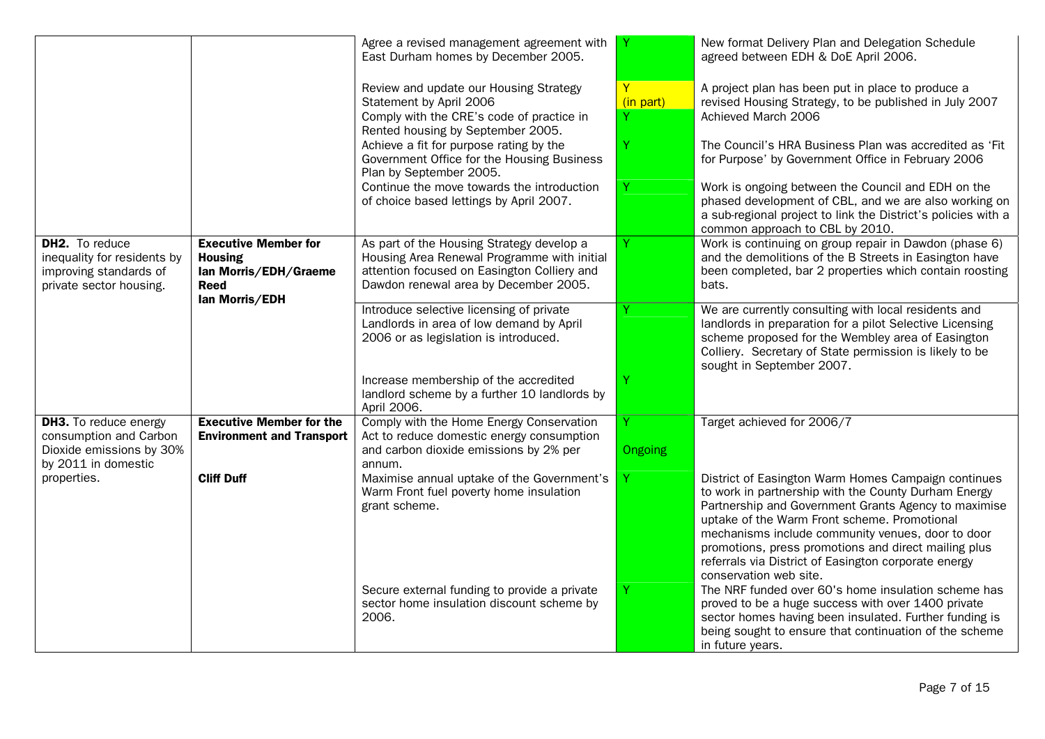|                                                                                                           |                                                                                                         | Agree a revised management agreement with<br>East Durham homes by December 2005.                                                                                                 |                     | New format Delivery Plan and Delegation Schedule<br>agreed between EDH & DoE April 2006.                                                                                                                                                                                                                                                                                                                           |
|-----------------------------------------------------------------------------------------------------------|---------------------------------------------------------------------------------------------------------|----------------------------------------------------------------------------------------------------------------------------------------------------------------------------------|---------------------|--------------------------------------------------------------------------------------------------------------------------------------------------------------------------------------------------------------------------------------------------------------------------------------------------------------------------------------------------------------------------------------------------------------------|
|                                                                                                           |                                                                                                         | Review and update our Housing Strategy<br>Statement by April 2006<br>Comply with the CRE's code of practice in<br>Rented housing by September 2005.                              | Y<br>(in part)      | A project plan has been put in place to produce a<br>revised Housing Strategy, to be published in July 2007<br>Achieved March 2006                                                                                                                                                                                                                                                                                 |
|                                                                                                           |                                                                                                         | Achieve a fit for purpose rating by the<br>Government Office for the Housing Business<br>Plan by September 2005.                                                                 |                     | The Council's HRA Business Plan was accredited as 'Fit<br>for Purpose' by Government Office in February 2006                                                                                                                                                                                                                                                                                                       |
|                                                                                                           |                                                                                                         | Continue the move towards the introduction<br>of choice based lettings by April 2007.                                                                                            | Y                   | Work is ongoing between the Council and EDH on the<br>phased development of CBL, and we are also working on<br>a sub-regional project to link the District's policies with a<br>common approach to CBL by 2010.                                                                                                                                                                                                    |
| DH2. To reduce<br>inequality for residents by<br>improving standards of<br>private sector housing.        | <b>Executive Member for</b><br><b>Housing</b><br>Ian Morris/EDH/Graeme<br><b>Reed</b><br>lan Morris/EDH | As part of the Housing Strategy develop a<br>Housing Area Renewal Programme with initial<br>attention focused on Easington Colliery and<br>Dawdon renewal area by December 2005. | Y                   | Work is continuing on group repair in Dawdon (phase 6)<br>and the demolitions of the B Streets in Easington have<br>been completed, bar 2 properties which contain roosting<br>bats.                                                                                                                                                                                                                               |
|                                                                                                           |                                                                                                         | Introduce selective licensing of private<br>Landlords in area of low demand by April<br>2006 or as legislation is introduced.                                                    |                     | We are currently consulting with local residents and<br>landlords in preparation for a pilot Selective Licensing<br>scheme proposed for the Wembley area of Easington<br>Colliery. Secretary of State permission is likely to be<br>sought in September 2007.                                                                                                                                                      |
|                                                                                                           |                                                                                                         | Increase membership of the accredited<br>landlord scheme by a further 10 landlords by<br>April 2006.                                                                             | Ÿ                   |                                                                                                                                                                                                                                                                                                                                                                                                                    |
| <b>DH3.</b> To reduce energy<br>consumption and Carbon<br>Dioxide emissions by 30%<br>by 2011 in domestic | <b>Executive Member for the</b><br><b>Environment and Transport</b>                                     | Comply with the Home Energy Conservation<br>Act to reduce domestic energy consumption<br>and carbon dioxide emissions by 2% per<br>annum.                                        | Y<br><b>Ongoing</b> | Target achieved for 2006/7                                                                                                                                                                                                                                                                                                                                                                                         |
| properties.                                                                                               | <b>Cliff Duff</b>                                                                                       | Maximise annual uptake of the Government's<br>Warm Front fuel poverty home insulation<br>grant scheme.                                                                           | Υ                   | District of Easington Warm Homes Campaign continues<br>to work in partnership with the County Durham Energy<br>Partnership and Government Grants Agency to maximise<br>uptake of the Warm Front scheme. Promotional<br>mechanisms include community venues, door to door<br>promotions, press promotions and direct mailing plus<br>referrals via District of Easington corporate energy<br>conservation web site. |
|                                                                                                           |                                                                                                         | Secure external funding to provide a private<br>sector home insulation discount scheme by<br>2006.                                                                               | Ÿ                   | The NRF funded over 60's home insulation scheme has<br>proved to be a huge success with over 1400 private<br>sector homes having been insulated. Further funding is<br>being sought to ensure that continuation of the scheme<br>in future years.                                                                                                                                                                  |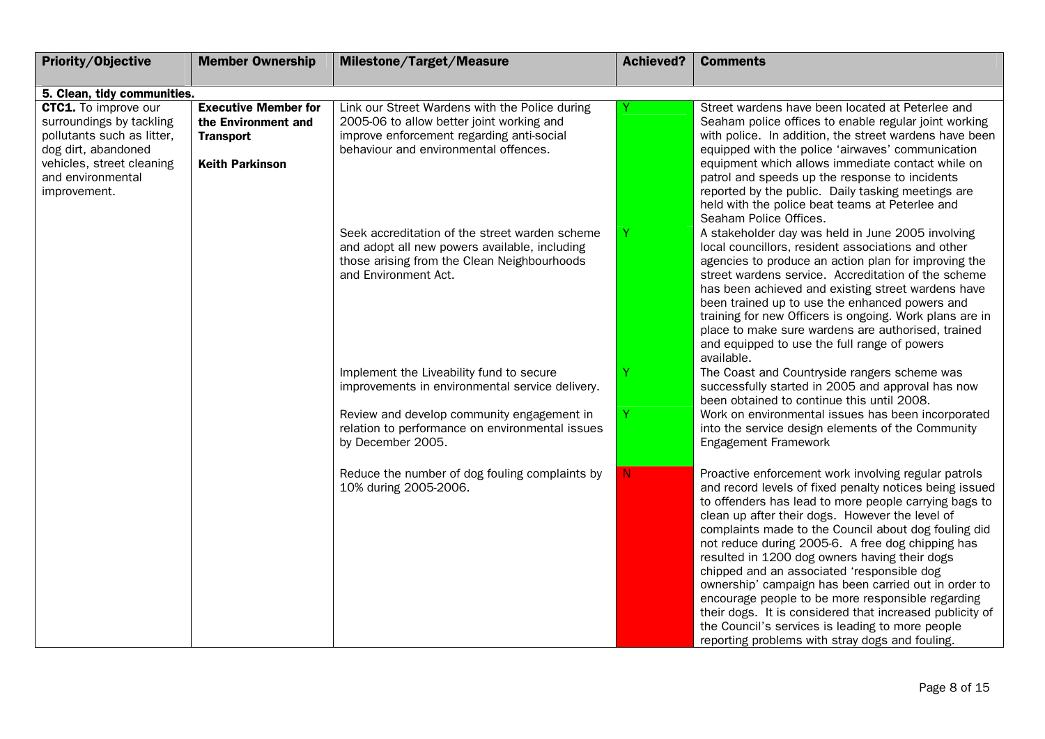| Priority/Objective                                         | <b>Member Ownership</b>     | Milestone/Target/Measure                                             | <b>Achieved?</b> | <b>Comments</b>                                                                                    |
|------------------------------------------------------------|-----------------------------|----------------------------------------------------------------------|------------------|----------------------------------------------------------------------------------------------------|
|                                                            |                             |                                                                      |                  |                                                                                                    |
| 5. Clean, tidy communities.<br><b>CTC1.</b> To improve our | <b>Executive Member for</b> | Link our Street Wardens with the Police during                       |                  | Street wardens have been located at Peterlee and                                                   |
| surroundings by tackling                                   | the Environment and         | 2005-06 to allow better joint working and                            |                  | Seaham police offices to enable regular joint working                                              |
| pollutants such as litter,                                 | <b>Transport</b>            | improve enforcement regarding anti-social                            |                  | with police. In addition, the street wardens have been                                             |
| dog dirt, abandoned                                        |                             | behaviour and environmental offences.                                |                  | equipped with the police 'airwaves' communication                                                  |
| vehicles, street cleaning                                  | <b>Keith Parkinson</b>      |                                                                      |                  | equipment which allows immediate contact while on                                                  |
| and environmental                                          |                             |                                                                      |                  | patrol and speeds up the response to incidents                                                     |
| improvement.                                               |                             |                                                                      |                  | reported by the public. Daily tasking meetings are                                                 |
|                                                            |                             |                                                                      |                  | held with the police beat teams at Peterlee and                                                    |
|                                                            |                             | Seek accreditation of the street warden scheme                       |                  | Seaham Police Offices.<br>A stakeholder day was held in June 2005 involving                        |
|                                                            |                             | and adopt all new powers available, including                        |                  | local councillors, resident associations and other                                                 |
|                                                            |                             | those arising from the Clean Neighbourhoods                          |                  | agencies to produce an action plan for improving the                                               |
|                                                            |                             | and Environment Act.                                                 |                  | street wardens service. Accreditation of the scheme                                                |
|                                                            |                             |                                                                      |                  | has been achieved and existing street wardens have                                                 |
|                                                            |                             |                                                                      |                  | been trained up to use the enhanced powers and                                                     |
|                                                            |                             |                                                                      |                  | training for new Officers is ongoing. Work plans are in                                            |
|                                                            |                             |                                                                      |                  | place to make sure wardens are authorised, trained<br>and equipped to use the full range of powers |
|                                                            |                             |                                                                      |                  | available.                                                                                         |
|                                                            |                             | Implement the Liveability fund to secure                             |                  | The Coast and Countryside rangers scheme was                                                       |
|                                                            |                             | improvements in environmental service delivery.                      |                  | successfully started in 2005 and approval has now                                                  |
|                                                            |                             |                                                                      |                  | been obtained to continue this until 2008.                                                         |
|                                                            |                             | Review and develop community engagement in                           | Ÿ                | Work on environmental issues has been incorporated                                                 |
|                                                            |                             | relation to performance on environmental issues<br>by December 2005. |                  | into the service design elements of the Community<br>Engagement Framework                          |
|                                                            |                             |                                                                      |                  |                                                                                                    |
|                                                            |                             | Reduce the number of dog fouling complaints by                       | N                | Proactive enforcement work involving regular patrols                                               |
|                                                            |                             | 10% during 2005-2006.                                                |                  | and record levels of fixed penalty notices being issued                                            |
|                                                            |                             |                                                                      |                  | to offenders has lead to more people carrying bags to                                              |
|                                                            |                             |                                                                      |                  | clean up after their dogs. However the level of                                                    |
|                                                            |                             |                                                                      |                  | complaints made to the Council about dog fouling did                                               |
|                                                            |                             |                                                                      |                  | not reduce during 2005-6. A free dog chipping has<br>resulted in 1200 dog owners having their dogs |
|                                                            |                             |                                                                      |                  | chipped and an associated 'responsible dog                                                         |
|                                                            |                             |                                                                      |                  | ownership' campaign has been carried out in order to                                               |
|                                                            |                             |                                                                      |                  | encourage people to be more responsible regarding                                                  |
|                                                            |                             |                                                                      |                  | their dogs. It is considered that increased publicity of                                           |
|                                                            |                             |                                                                      |                  | the Council's services is leading to more people                                                   |
|                                                            |                             |                                                                      |                  | reporting problems with stray dogs and fouling.                                                    |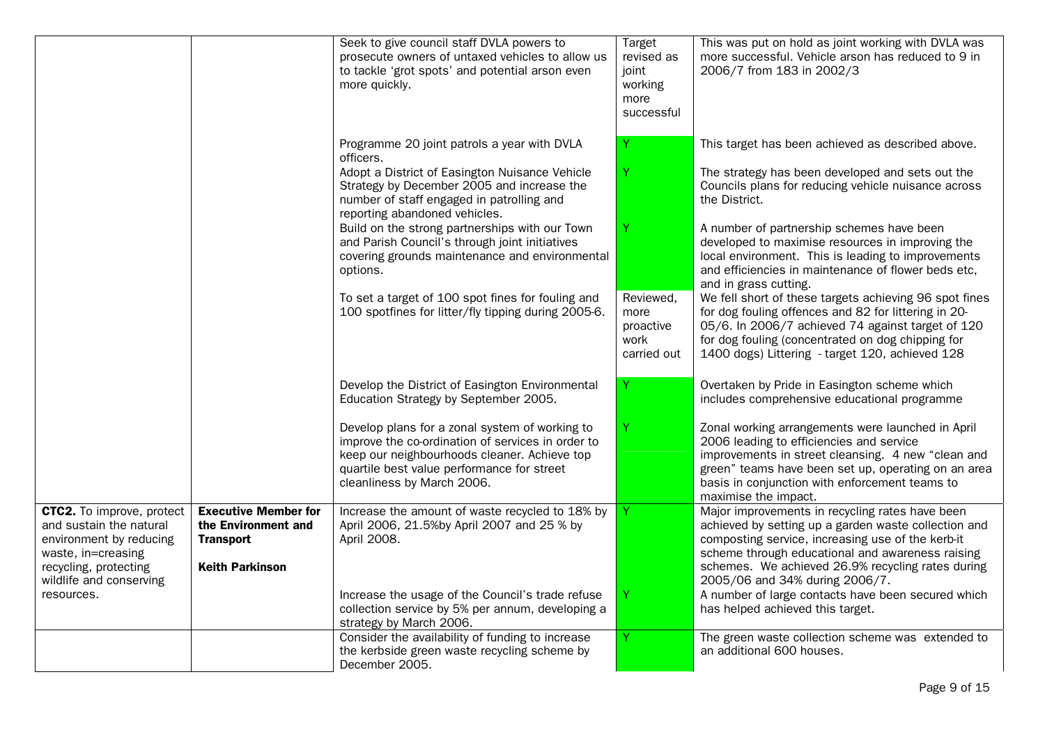|                                                                                                                                                                  |                                                                                                  | Seek to give council staff DVLA powers to<br>prosecute owners of untaxed vehicles to allow us<br>to tackle 'grot spots' and potential arson even<br>more quickly.                                                               | Target<br>revised as<br>joint<br>working<br>more<br>successful | This was put on hold as joint working with DVLA was<br>more successful. Vehicle arson has reduced to 9 in<br>2006/7 from 183 in 2002/3                                                                                                                                                                  |
|------------------------------------------------------------------------------------------------------------------------------------------------------------------|--------------------------------------------------------------------------------------------------|---------------------------------------------------------------------------------------------------------------------------------------------------------------------------------------------------------------------------------|----------------------------------------------------------------|---------------------------------------------------------------------------------------------------------------------------------------------------------------------------------------------------------------------------------------------------------------------------------------------------------|
|                                                                                                                                                                  |                                                                                                  | Programme 20 joint patrols a year with DVLA<br>officers.                                                                                                                                                                        |                                                                | This target has been achieved as described above.                                                                                                                                                                                                                                                       |
|                                                                                                                                                                  |                                                                                                  | Adopt a District of Easington Nuisance Vehicle<br>Strategy by December 2005 and increase the<br>number of staff engaged in patrolling and<br>reporting abandoned vehicles.                                                      | Ÿ.                                                             | The strategy has been developed and sets out the<br>Councils plans for reducing vehicle nuisance across<br>the District.                                                                                                                                                                                |
|                                                                                                                                                                  |                                                                                                  | Build on the strong partnerships with our Town<br>and Parish Council's through joint initiatives<br>covering grounds maintenance and environmental<br>options.                                                                  | Y                                                              | A number of partnership schemes have been<br>developed to maximise resources in improving the<br>local environment. This is leading to improvements<br>and efficiencies in maintenance of flower beds etc,<br>and in grass cutting.                                                                     |
|                                                                                                                                                                  |                                                                                                  | To set a target of 100 spot fines for fouling and<br>100 spotfines for litter/fly tipping during 2005-6.                                                                                                                        | Reviewed,<br>more<br>proactive<br>work<br>carried out          | We fell short of these targets achieving 96 spot fines<br>for dog fouling offences and 82 for littering in 20-<br>05/6. In 2006/7 achieved 74 against target of 120<br>for dog fouling (concentrated on dog chipping for<br>1400 dogs) Littering - target 120, achieved 128                             |
|                                                                                                                                                                  |                                                                                                  | Develop the District of Easington Environmental<br>Education Strategy by September 2005.                                                                                                                                        |                                                                | Overtaken by Pride in Easington scheme which<br>includes comprehensive educational programme                                                                                                                                                                                                            |
|                                                                                                                                                                  |                                                                                                  | Develop plans for a zonal system of working to<br>improve the co-ordination of services in order to<br>keep our neighbourhoods cleaner. Achieve top<br>quartile best value performance for street<br>cleanliness by March 2006. | Y.                                                             | Zonal working arrangements were launched in April<br>2006 leading to efficiencies and service<br>improvements in street cleansing. 4 new "clean and<br>green" teams have been set up, operating on an area<br>basis in conjunction with enforcement teams to<br>maximise the impact.                    |
| <b>CTC2.</b> To improve, protect<br>and sustain the natural<br>environment by reducing<br>waste, in=creasing<br>recycling, protecting<br>wildlife and conserving | <b>Executive Member for</b><br>the Environment and<br><b>Transport</b><br><b>Keith Parkinson</b> | Increase the amount of waste recycled to 18% by<br>April 2006, 21.5%by April 2007 and 25 % by<br>April 2008.                                                                                                                    |                                                                | Major improvements in recycling rates have been<br>achieved by setting up a garden waste collection and<br>composting service, increasing use of the kerb-it<br>scheme through educational and awareness raising<br>schemes. We achieved 26.9% recycling rates during<br>2005/06 and 34% during 2006/7. |
| resources.                                                                                                                                                       |                                                                                                  | Increase the usage of the Council's trade refuse<br>collection service by 5% per annum, developing a<br>strategy by March 2006.                                                                                                 |                                                                | A number of large contacts have been secured which<br>has helped achieved this target.                                                                                                                                                                                                                  |
|                                                                                                                                                                  |                                                                                                  | Consider the availability of funding to increase<br>the kerbside green waste recycling scheme by<br>December 2005.                                                                                                              |                                                                | The green waste collection scheme was extended to<br>an additional 600 houses.                                                                                                                                                                                                                          |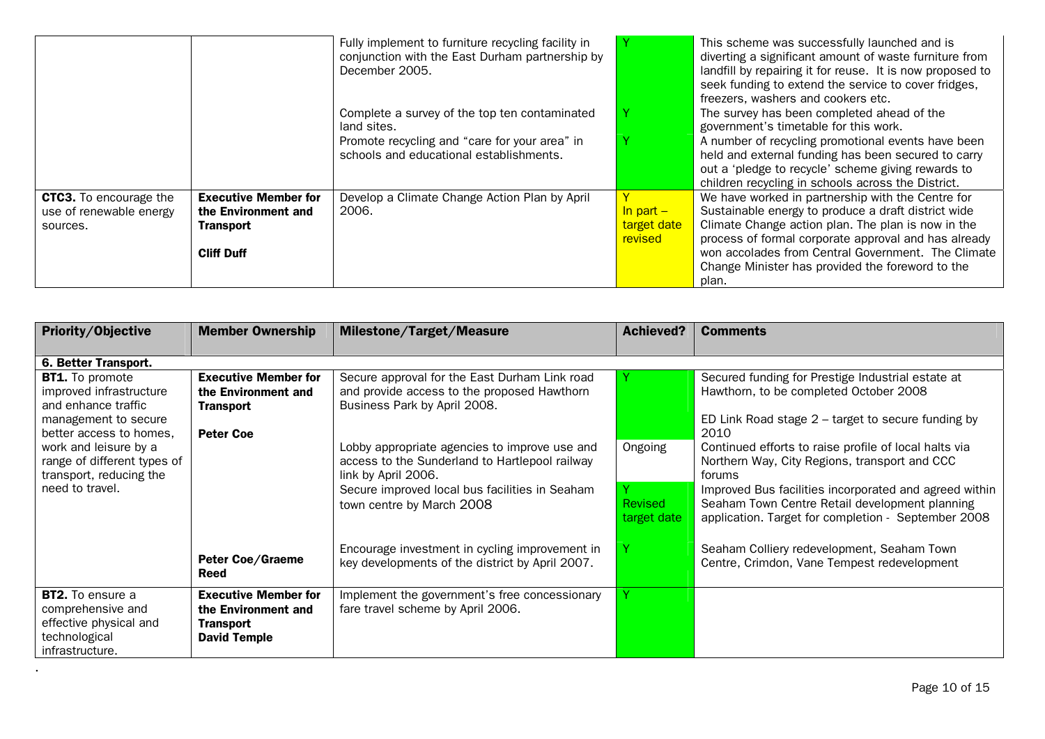|                                                                      |                                                                 | Fully implement to furniture recycling facility in<br>conjunction with the East Durham partnership by<br>December 2005. |                                     | This scheme was successfully launched and is<br>diverting a significant amount of waste furniture from<br>landfill by repairing it for reuse. It is now proposed to<br>seek funding to extend the service to cover fridges,<br>freezers, washers and cookers etc. |
|----------------------------------------------------------------------|-----------------------------------------------------------------|-------------------------------------------------------------------------------------------------------------------------|-------------------------------------|-------------------------------------------------------------------------------------------------------------------------------------------------------------------------------------------------------------------------------------------------------------------|
|                                                                      |                                                                 | Complete a survey of the top ten contaminated<br>land sites.                                                            |                                     | The survey has been completed ahead of the<br>government's timetable for this work.                                                                                                                                                                               |
|                                                                      |                                                                 | Promote recycling and "care for your area" in<br>schools and educational establishments.                                |                                     | A number of recycling promotional events have been<br>held and external funding has been secured to carry<br>out a 'pledge to recycle' scheme giving rewards to<br>children recycling in schools across the District.                                             |
| <b>CTC3.</b> To encourage the<br>use of renewable energy<br>sources. | <b>Executive Member for</b><br>the Environment and<br>Transport | Develop a Climate Change Action Plan by April<br>2006.                                                                  | In part -<br>target date<br>revised | We have worked in partnership with the Centre for<br>Sustainable energy to produce a draft district wide<br>Climate Change action plan. The plan is now in the<br>process of formal corporate approval and has already                                            |
|                                                                      | <b>Cliff Duff</b>                                               |                                                                                                                         |                                     | won accolades from Central Government. The Climate<br>Change Minister has provided the foreword to the<br>plan.                                                                                                                                                   |

| <b>Priority/Objective</b>                                                                                                                                                           | <b>Member Ownership</b>                                                                    | <b>Milestone/Target/Measure</b>                                                                                                                                                                                                                        | <b>Achieved?</b>              | <b>Comments</b>                                                                                                                                                                                                                                                                 |
|-------------------------------------------------------------------------------------------------------------------------------------------------------------------------------------|--------------------------------------------------------------------------------------------|--------------------------------------------------------------------------------------------------------------------------------------------------------------------------------------------------------------------------------------------------------|-------------------------------|---------------------------------------------------------------------------------------------------------------------------------------------------------------------------------------------------------------------------------------------------------------------------------|
| 6. Better Transport.                                                                                                                                                                |                                                                                            |                                                                                                                                                                                                                                                        |                               |                                                                                                                                                                                                                                                                                 |
| <b>BT1.</b> To promote<br>improved infrastructure<br>and enhance traffic<br>management to secure<br>better access to homes,<br>work and leisure by a<br>range of different types of | <b>Executive Member for</b><br>the Environment and<br><b>Transport</b><br><b>Peter Coe</b> | Secure approval for the East Durham Link road<br>and provide access to the proposed Hawthorn<br>Business Park by April 2008.<br>Lobby appropriate agencies to improve use and<br>access to the Sunderland to Hartlepool railway<br>link by April 2006. | Ongoing                       | Secured funding for Prestige Industrial estate at<br>Hawthorn, to be completed October 2008<br>ED Link Road stage $2$ – target to secure funding by<br>2010<br>Continued efforts to raise profile of local halts via<br>Northern Way, City Regions, transport and CCC<br>forums |
| transport, reducing the<br>need to travel.                                                                                                                                          |                                                                                            | Secure improved local bus facilities in Seaham<br>town centre by March 2008                                                                                                                                                                            | <b>Revised</b><br>target date | Improved Bus facilities incorporated and agreed within<br>Seaham Town Centre Retail development planning<br>application. Target for completion - September 2008                                                                                                                 |
|                                                                                                                                                                                     | <b>Peter Coe/Graeme</b><br><b>Reed</b>                                                     | Encourage investment in cycling improvement in<br>key developments of the district by April 2007.                                                                                                                                                      |                               | Seaham Colliery redevelopment, Seaham Town<br>Centre, Crimdon, Vane Tempest redevelopment                                                                                                                                                                                       |
| BT2. To ensure a<br>comprehensive and<br>effective physical and<br>technological<br>infrastructure.                                                                                 | <b>Executive Member for</b><br>the Environment and<br>Transport<br><b>David Temple</b>     | Implement the government's free concessionary<br>fare travel scheme by April 2006.                                                                                                                                                                     | $\mathbf{v}$                  |                                                                                                                                                                                                                                                                                 |

.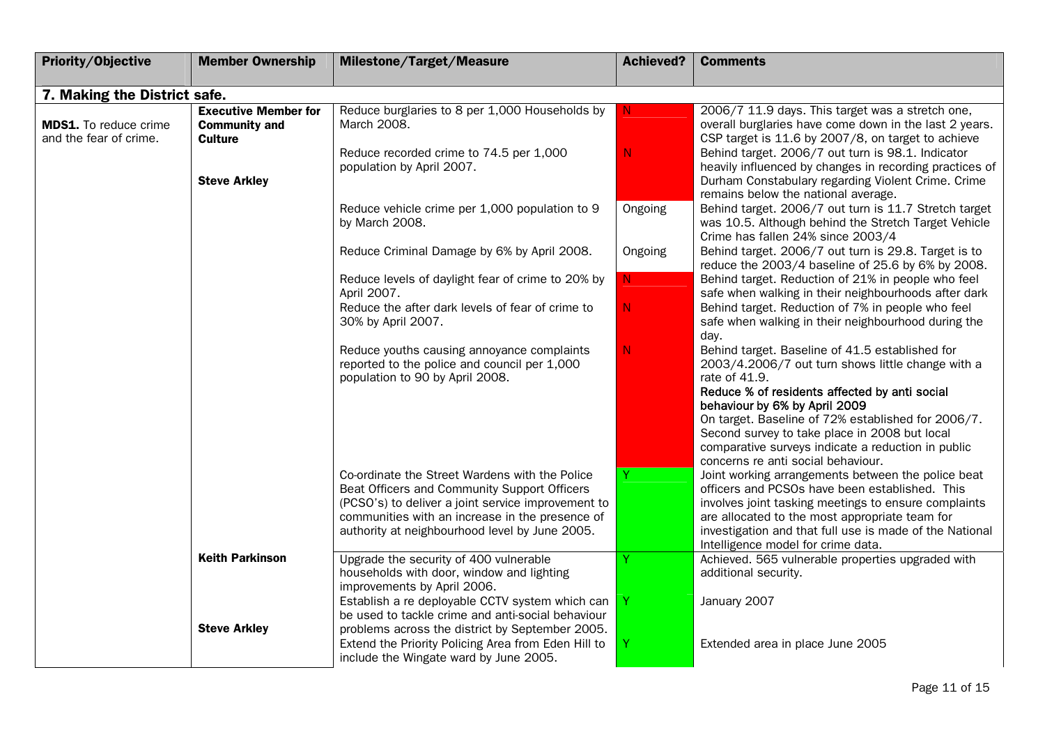| Priority/Objective                                     | <b>Member Ownership</b>                                               | <b>Milestone/Target/Measure</b>                                                                                                                                                                                                                           | <b>Achieved?</b> | <b>Comments</b>                                                                                                                                                                                                                                                                                                                                                                                            |
|--------------------------------------------------------|-----------------------------------------------------------------------|-----------------------------------------------------------------------------------------------------------------------------------------------------------------------------------------------------------------------------------------------------------|------------------|------------------------------------------------------------------------------------------------------------------------------------------------------------------------------------------------------------------------------------------------------------------------------------------------------------------------------------------------------------------------------------------------------------|
| 7. Making the District safe.                           |                                                                       |                                                                                                                                                                                                                                                           |                  |                                                                                                                                                                                                                                                                                                                                                                                                            |
| <b>MDS1.</b> To reduce crime<br>and the fear of crime. | <b>Executive Member for</b><br><b>Community and</b><br><b>Culture</b> | Reduce burglaries to 8 per 1,000 Households by<br>March 2008.<br>Reduce recorded crime to 74.5 per 1,000                                                                                                                                                  | N.<br>N          | 2006/7 11.9 days. This target was a stretch one,<br>overall burglaries have come down in the last 2 years.<br>CSP target is 11.6 by 2007/8, on target to achieve<br>Behind target. 2006/7 out turn is 98.1. Indicator                                                                                                                                                                                      |
|                                                        | <b>Steve Arkley</b>                                                   | population by April 2007.                                                                                                                                                                                                                                 |                  | heavily influenced by changes in recording practices of<br>Durham Constabulary regarding Violent Crime. Crime<br>remains below the national average.                                                                                                                                                                                                                                                       |
|                                                        |                                                                       | Reduce vehicle crime per 1,000 population to 9<br>by March 2008.                                                                                                                                                                                          | Ongoing          | Behind target. 2006/7 out turn is 11.7 Stretch target<br>was 10.5. Although behind the Stretch Target Vehicle<br>Crime has fallen 24% since 2003/4                                                                                                                                                                                                                                                         |
|                                                        |                                                                       | Reduce Criminal Damage by 6% by April 2008.                                                                                                                                                                                                               | Ongoing          | Behind target. 2006/7 out turn is 29.8. Target is to<br>reduce the 2003/4 baseline of 25.6 by 6% by 2008.                                                                                                                                                                                                                                                                                                  |
|                                                        |                                                                       | Reduce levels of daylight fear of crime to 20% by<br>April 2007.                                                                                                                                                                                          | N.               | Behind target. Reduction of 21% in people who feel<br>safe when walking in their neighbourhoods after dark                                                                                                                                                                                                                                                                                                 |
|                                                        |                                                                       | Reduce the after dark levels of fear of crime to<br>30% by April 2007.                                                                                                                                                                                    | N.               | Behind target. Reduction of 7% in people who feel<br>safe when walking in their neighbourhood during the<br>day.                                                                                                                                                                                                                                                                                           |
|                                                        |                                                                       | Reduce youths causing annoyance complaints<br>reported to the police and council per 1,000<br>population to 90 by April 2008.                                                                                                                             | N.               | Behind target. Baseline of 41.5 established for<br>2003/4.2006/7 out turn shows little change with a<br>rate of 41.9.<br>Reduce % of residents affected by anti social<br>behaviour by 6% by April 2009<br>On target. Baseline of 72% established for 2006/7.<br>Second survey to take place in 2008 but local<br>comparative surveys indicate a reduction in public<br>concerns re anti social behaviour. |
|                                                        |                                                                       | Co-ordinate the Street Wardens with the Police<br>Beat Officers and Community Support Officers<br>(PCSO's) to deliver a joint service improvement to<br>communities with an increase in the presence of<br>authority at neighbourhood level by June 2005. |                  | Joint working arrangements between the police beat<br>officers and PCSOs have been established. This<br>involves joint tasking meetings to ensure complaints<br>are allocated to the most appropriate team for<br>investigation and that full use is made of the National<br>Intelligence model for crime data.                                                                                            |
|                                                        | <b>Keith Parkinson</b>                                                | Upgrade the security of 400 vulnerable<br>households with door, window and lighting<br>improvements by April 2006.                                                                                                                                        |                  | Achieved. 565 vulnerable properties upgraded with<br>additional security.                                                                                                                                                                                                                                                                                                                                  |
|                                                        | <b>Steve Arkley</b>                                                   | Establish a re deployable CCTV system which can<br>be used to tackle crime and anti-social behaviour<br>problems across the district by September 2005.                                                                                                   |                  | January 2007                                                                                                                                                                                                                                                                                                                                                                                               |
|                                                        |                                                                       | Extend the Priority Policing Area from Eden Hill to<br>include the Wingate ward by June 2005.                                                                                                                                                             |                  | Extended area in place June 2005                                                                                                                                                                                                                                                                                                                                                                           |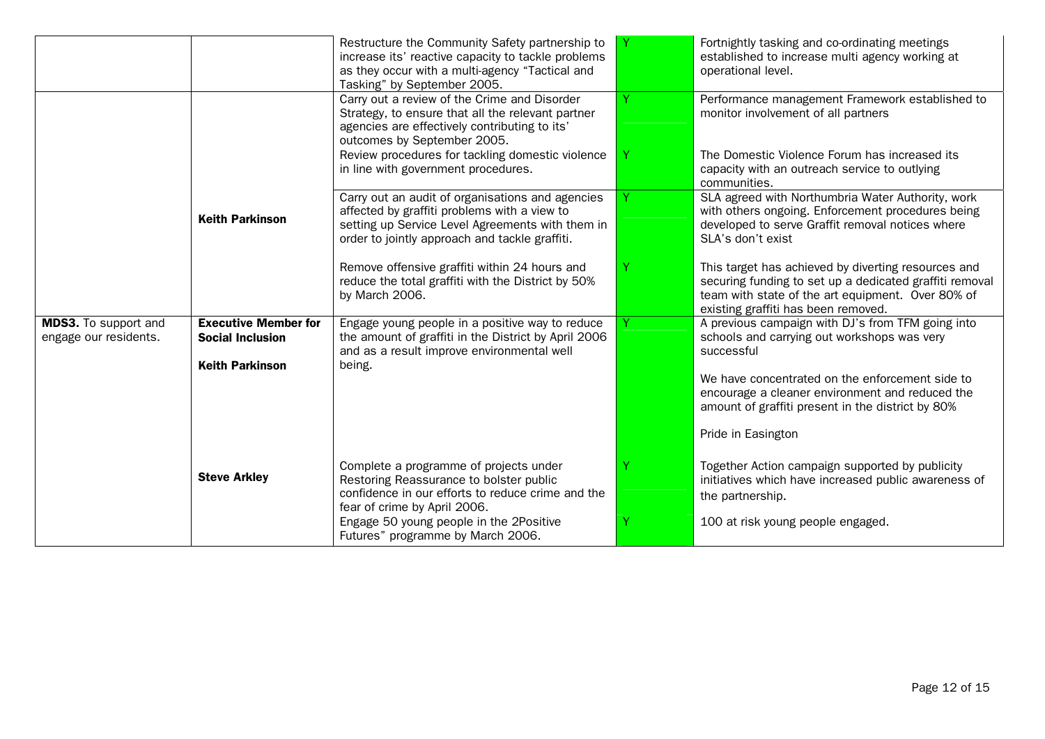|                                                      |                                                        | Restructure the Community Safety partnership to<br>increase its' reactive capacity to tackle problems<br>as they occur with a multi-agency "Tactical and<br>Tasking" by September 2005.                                                                                      |   | Fortnightly tasking and co-ordinating meetings<br>established to increase multi agency working at<br>operational level.                                                                                    |
|------------------------------------------------------|--------------------------------------------------------|------------------------------------------------------------------------------------------------------------------------------------------------------------------------------------------------------------------------------------------------------------------------------|---|------------------------------------------------------------------------------------------------------------------------------------------------------------------------------------------------------------|
|                                                      |                                                        | Carry out a review of the Crime and Disorder<br>Strategy, to ensure that all the relevant partner<br>agencies are effectively contributing to its'<br>outcomes by September 2005.<br>Review procedures for tackling domestic violence<br>in line with government procedures. |   | Performance management Framework established to<br>monitor involvement of all partners<br>The Domestic Violence Forum has increased its<br>capacity with an outreach service to outlying<br>communities.   |
|                                                      | <b>Keith Parkinson</b>                                 | Carry out an audit of organisations and agencies<br>affected by graffiti problems with a view to<br>setting up Service Level Agreements with them in<br>order to jointly approach and tackle graffiti.                                                                       |   | SLA agreed with Northumbria Water Authority, work<br>with others ongoing. Enforcement procedures being<br>developed to serve Graffit removal notices where<br>SLA's don't exist                            |
|                                                      |                                                        | Remove offensive graffiti within 24 hours and<br>reduce the total graffiti with the District by 50%<br>by March 2006.                                                                                                                                                        | Υ | This target has achieved by diverting resources and<br>securing funding to set up a dedicated graffiti removal<br>team with state of the art equipment. Over 80% of<br>existing graffiti has been removed. |
| <b>MDS3.</b> To support and<br>engage our residents. | <b>Executive Member for</b><br><b>Social Inclusion</b> | Engage young people in a positive way to reduce<br>the amount of graffiti in the District by April 2006<br>and as a result improve environmental well                                                                                                                        |   | A previous campaign with DJ's from TFM going into<br>schools and carrying out workshops was very<br>successful                                                                                             |
|                                                      | <b>Keith Parkinson</b>                                 | being.                                                                                                                                                                                                                                                                       |   | We have concentrated on the enforcement side to<br>encourage a cleaner environment and reduced the<br>amount of graffiti present in the district by 80%                                                    |
|                                                      |                                                        |                                                                                                                                                                                                                                                                              |   | Pride in Easington                                                                                                                                                                                         |
|                                                      | <b>Steve Arkley</b>                                    | Complete a programme of projects under<br>Restoring Reassurance to bolster public<br>confidence in our efforts to reduce crime and the<br>fear of crime by April 2006.                                                                                                       |   | Together Action campaign supported by publicity<br>initiatives which have increased public awareness of<br>the partnership.                                                                                |
|                                                      |                                                        | Engage 50 young people in the 2Positive<br>Futures" programme by March 2006.                                                                                                                                                                                                 |   | 100 at risk young people engaged.                                                                                                                                                                          |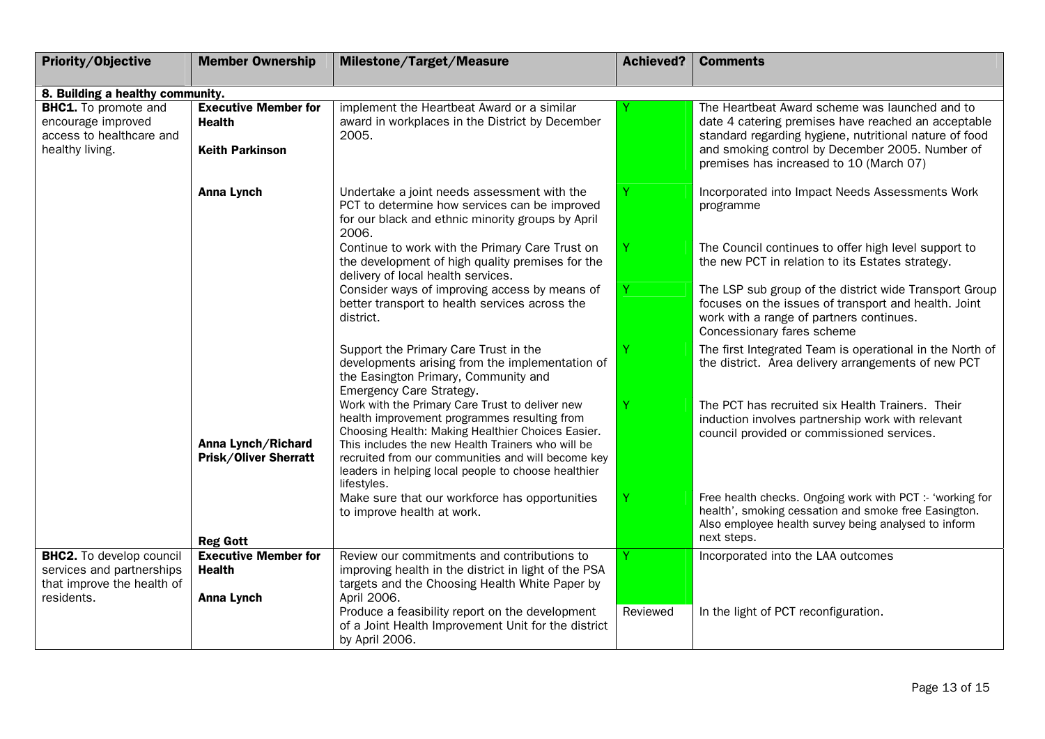| <b>Priority/Objective</b>                                                                        | <b>Member Ownership</b>                                                | Milestone/Target/Measure                                                                                                                                                                                                                                                                                                              | <b>Achieved?</b> | <b>Comments</b>                                                                                                                                                                                                                                               |
|--------------------------------------------------------------------------------------------------|------------------------------------------------------------------------|---------------------------------------------------------------------------------------------------------------------------------------------------------------------------------------------------------------------------------------------------------------------------------------------------------------------------------------|------------------|---------------------------------------------------------------------------------------------------------------------------------------------------------------------------------------------------------------------------------------------------------------|
| 8. Building a healthy community.                                                                 |                                                                        |                                                                                                                                                                                                                                                                                                                                       |                  |                                                                                                                                                                                                                                                               |
| <b>BHC1.</b> To promote and<br>encourage improved<br>access to healthcare and<br>healthy living. | <b>Executive Member for</b><br><b>Health</b><br><b>Keith Parkinson</b> | implement the Heartbeat Award or a similar<br>award in workplaces in the District by December<br>2005.                                                                                                                                                                                                                                |                  | The Heartbeat Award scheme was launched and to<br>date 4 catering premises have reached an acceptable<br>standard regarding hygiene, nutritional nature of food<br>and smoking control by December 2005. Number of<br>premises has increased to 10 (March 07) |
|                                                                                                  | <b>Anna Lynch</b>                                                      | Undertake a joint needs assessment with the<br>PCT to determine how services can be improved<br>for our black and ethnic minority groups by April<br>2006.                                                                                                                                                                            |                  | Incorporated into Impact Needs Assessments Work<br>programme                                                                                                                                                                                                  |
|                                                                                                  |                                                                        | Continue to work with the Primary Care Trust on<br>the development of high quality premises for the<br>delivery of local health services.                                                                                                                                                                                             |                  | The Council continues to offer high level support to<br>the new PCT in relation to its Estates strategy.                                                                                                                                                      |
|                                                                                                  |                                                                        | Consider ways of improving access by means of<br>better transport to health services across the<br>district.                                                                                                                                                                                                                          | Y                | The LSP sub group of the district wide Transport Group<br>focuses on the issues of transport and health. Joint<br>work with a range of partners continues.<br>Concessionary fares scheme                                                                      |
|                                                                                                  |                                                                        | Support the Primary Care Trust in the<br>developments arising from the implementation of<br>the Easington Primary, Community and<br><b>Emergency Care Strategy.</b>                                                                                                                                                                   | Ÿ                | The first Integrated Team is operational in the North of<br>the district. Area delivery arrangements of new PCT                                                                                                                                               |
|                                                                                                  | Anna Lynch/Richard<br><b>Prisk/Oliver Sherratt</b>                     | Work with the Primary Care Trust to deliver new<br>health improvement programmes resulting from<br>Choosing Health: Making Healthier Choices Easier.<br>This includes the new Health Trainers who will be<br>recruited from our communities and will become key<br>leaders in helping local people to choose healthier<br>lifestyles. | Ÿ                | The PCT has recruited six Health Trainers. Their<br>induction involves partnership work with relevant<br>council provided or commissioned services.                                                                                                           |
|                                                                                                  | <b>Reg Gott</b>                                                        | Make sure that our workforce has opportunities<br>to improve health at work.                                                                                                                                                                                                                                                          | Ÿ                | Free health checks. Ongoing work with PCT :- 'working for<br>health', smoking cessation and smoke free Easington.<br>Also employee health survey being analysed to inform<br>next steps.                                                                      |
| <b>BHC2.</b> To develop council<br>services and partnerships<br>that improve the health of       | <b>Executive Member for</b><br><b>Health</b>                           | Review our commitments and contributions to<br>improving health in the district in light of the PSA<br>targets and the Choosing Health White Paper by                                                                                                                                                                                 |                  | Incorporated into the LAA outcomes                                                                                                                                                                                                                            |
| residents.                                                                                       | <b>Anna Lynch</b>                                                      | April 2006.<br>Produce a feasibility report on the development<br>of a Joint Health Improvement Unit for the district<br>by April 2006.                                                                                                                                                                                               | Reviewed         | In the light of PCT reconfiguration.                                                                                                                                                                                                                          |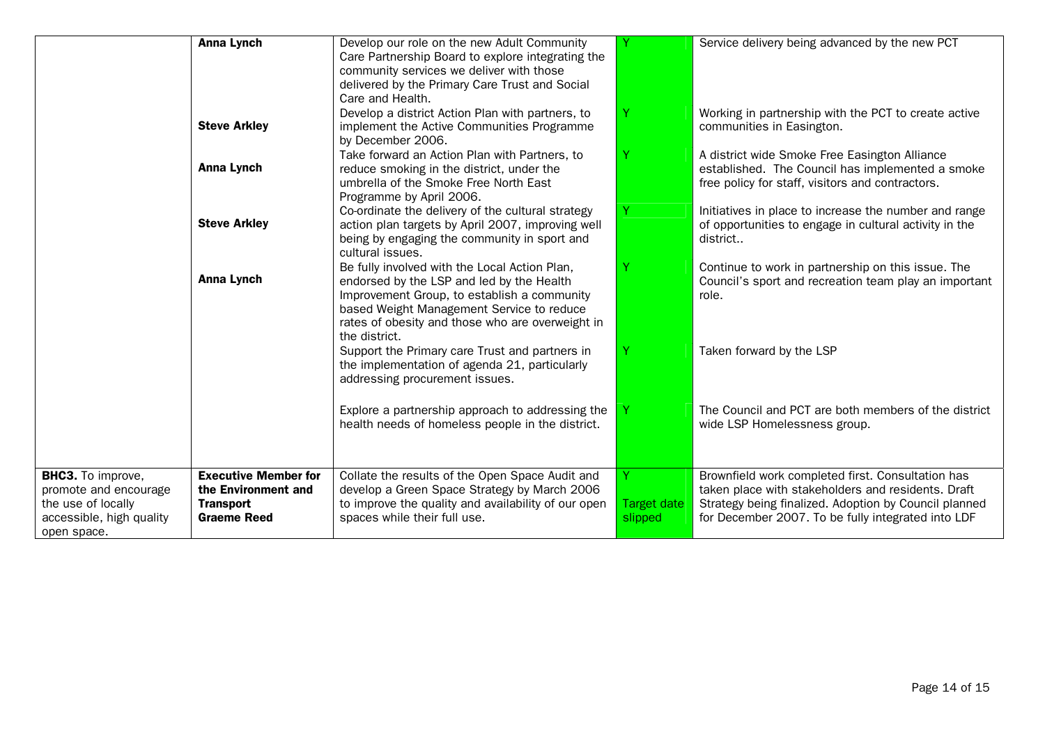|                                                                                                                    | <b>Anna Lynch</b>                                                                            | Develop our role on the new Adult Community<br>Care Partnership Board to explore integrating the<br>community services we deliver with those<br>delivered by the Primary Care Trust and Social<br>Care and Health.                                          |                               | Service delivery being advanced by the new PCT                                                                                                                                                                         |
|--------------------------------------------------------------------------------------------------------------------|----------------------------------------------------------------------------------------------|-------------------------------------------------------------------------------------------------------------------------------------------------------------------------------------------------------------------------------------------------------------|-------------------------------|------------------------------------------------------------------------------------------------------------------------------------------------------------------------------------------------------------------------|
|                                                                                                                    | <b>Steve Arkley</b>                                                                          | Develop a district Action Plan with partners, to<br>implement the Active Communities Programme<br>by December 2006.                                                                                                                                         | Y                             | Working in partnership with the PCT to create active<br>communities in Easington.                                                                                                                                      |
|                                                                                                                    | <b>Anna Lynch</b>                                                                            | Take forward an Action Plan with Partners, to<br>reduce smoking in the district, under the<br>umbrella of the Smoke Free North East<br>Programme by April 2006.                                                                                             | Y                             | A district wide Smoke Free Easington Alliance<br>established. The Council has implemented a smoke<br>free policy for staff, visitors and contractors.                                                                  |
|                                                                                                                    | <b>Steve Arkley</b>                                                                          | Co-ordinate the delivery of the cultural strategy<br>action plan targets by April 2007, improving well<br>being by engaging the community in sport and<br>cultural issues.                                                                                  | Y                             | Initiatives in place to increase the number and range<br>of opportunities to engage in cultural activity in the<br>district                                                                                            |
|                                                                                                                    | <b>Anna Lynch</b>                                                                            | Be fully involved with the Local Action Plan,<br>endorsed by the LSP and led by the Health<br>Improvement Group, to establish a community<br>based Weight Management Service to reduce<br>rates of obesity and those who are overweight in<br>the district. |                               | Continue to work in partnership on this issue. The<br>Council's sport and recreation team play an important<br>role.                                                                                                   |
|                                                                                                                    |                                                                                              | Support the Primary care Trust and partners in<br>the implementation of agenda 21, particularly<br>addressing procurement issues.                                                                                                                           |                               | Taken forward by the LSP                                                                                                                                                                                               |
|                                                                                                                    |                                                                                              | Explore a partnership approach to addressing the<br>health needs of homeless people in the district.                                                                                                                                                        |                               | The Council and PCT are both members of the district<br>wide LSP Homelessness group.                                                                                                                                   |
| <b>BHC3.</b> To improve,<br>promote and encourage<br>the use of locally<br>accessible, high quality<br>open space. | <b>Executive Member for</b><br>the Environment and<br><b>Transport</b><br><b>Graeme Reed</b> | Collate the results of the Open Space Audit and<br>develop a Green Space Strategy by March 2006<br>to improve the quality and availability of our open<br>spaces while their full use.                                                                      | <b>Target date</b><br>slipped | Brownfield work completed first. Consultation has<br>taken place with stakeholders and residents. Draft<br>Strategy being finalized. Adoption by Council planned<br>for December 2007. To be fully integrated into LDF |